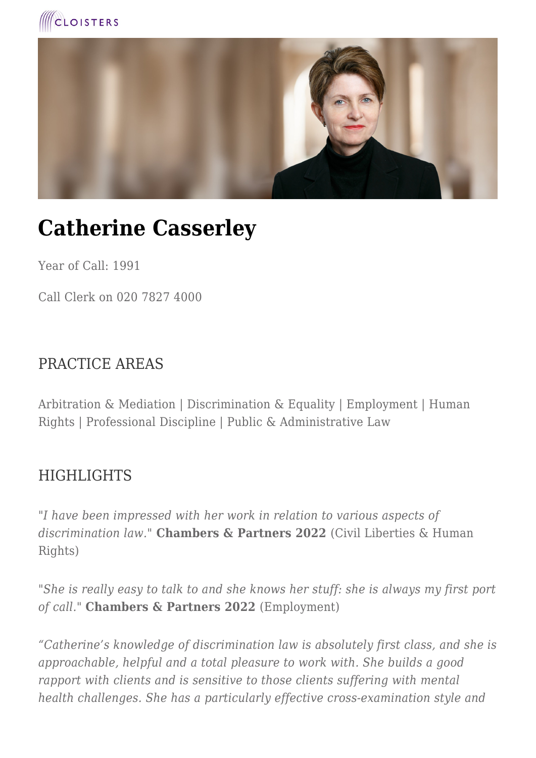



# **Catherine Casserley**

Year of Call: 1991

Call Clerk on 020 7827 4000

#### PRACTICE AREAS

Arbitration & Mediation | Discrimination & Equality | Employment | Human Rights | Professional Discipline | Public & Administrative Law

#### **HIGHLIGHTS**

*"I have been impressed with her work in relation to various aspects of discrimination law."* **Chambers & Partners 2022** (Civil Liberties & Human Rights)

*"She is really easy to talk to and she knows her stuff: she is always my first port of call."* **Chambers & Partners 2022** (Employment)

*"Catherine's knowledge of discrimination law is absolutely first class, and she is approachable, helpful and a total pleasure to work with. She builds a good rapport with clients and is sensitive to those clients suffering with mental health challenges. She has a particularly effective cross-examination style and*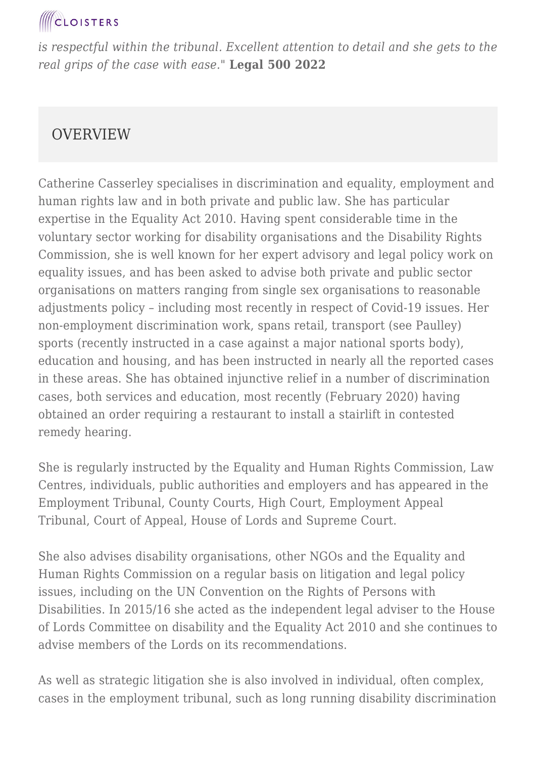*is respectful within the tribunal. Excellent attention to detail and she gets to the real grips of the case with ease."* **Legal 500 2022**

#### **OVERVIEW**

Catherine Casserley specialises in discrimination and equality, employment and human rights law and in both private and public law. She has particular expertise in the Equality Act 2010. Having spent considerable time in the voluntary sector working for disability organisations and the Disability Rights Commission, she is well known for her expert advisory and legal policy work on equality issues, and has been asked to advise both private and public sector organisations on matters ranging from single sex organisations to reasonable adjustments policy – including most recently in respect of Covid-19 issues. Her non-employment discrimination work, spans retail, transport (see Paulley) sports (recently instructed in a case against a major national sports body), education and housing, and has been instructed in nearly all the reported cases in these areas. She has obtained injunctive relief in a number of discrimination cases, both services and education, most recently (February 2020) having obtained an order requiring a restaurant to install a stairlift in contested remedy hearing.

She is regularly instructed by the Equality and Human Rights Commission, Law Centres, individuals, public authorities and employers and has appeared in the Employment Tribunal, County Courts, High Court, Employment Appeal Tribunal, Court of Appeal, House of Lords and Supreme Court.

She also advises disability organisations, other NGOs and the Equality and Human Rights Commission on a regular basis on litigation and legal policy issues, including on the UN Convention on the Rights of Persons with Disabilities. In 2015/16 she acted as the independent legal adviser to the House of Lords Committee on disability and the Equality Act 2010 and she continues to advise members of the Lords on its recommendations.

As well as strategic litigation she is also involved in individual, often complex, cases in the employment tribunal, such as long running disability discrimination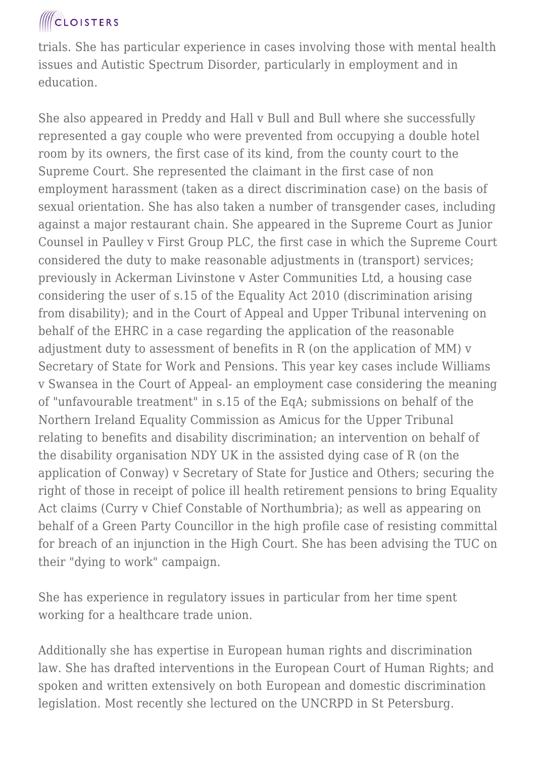trials. She has particular experience in cases involving those with mental health issues and Autistic Spectrum Disorder, particularly in employment and in education.

She also appeared in Preddy and Hall v Bull and Bull where she successfully represented a gay couple who were prevented from occupying a double hotel room by its owners, the first case of its kind, from the county court to the Supreme Court. She represented the claimant in the first case of non employment harassment (taken as a direct discrimination case) on the basis of sexual orientation. She has also taken a number of transgender cases, including against a major restaurant chain. She appeared in the Supreme Court as Junior Counsel in Paulley v First Group PLC, the first case in which the Supreme Court considered the duty to make reasonable adjustments in (transport) services; previously in Ackerman Livinstone v Aster Communities Ltd, a housing case considering the user of s.15 of the Equality Act 2010 (discrimination arising from disability); and in the Court of Appeal and Upper Tribunal intervening on behalf of the EHRC in a case regarding the application of the reasonable adjustment duty to assessment of benefits in R (on the application of MM) v Secretary of State for Work and Pensions. This year key cases include Williams v Swansea in the Court of Appeal- an employment case considering the meaning of "unfavourable treatment" in s.15 of the EqA; submissions on behalf of the Northern Ireland Equality Commission as Amicus for the Upper Tribunal relating to benefits and disability discrimination; an intervention on behalf of the disability organisation NDY UK in the assisted dying case of R (on the application of Conway) v Secretary of State for Justice and Others; securing the right of those in receipt of police ill health retirement pensions to bring Equality Act claims (Curry v Chief Constable of Northumbria); as well as appearing on behalf of a Green Party Councillor in the high profile case of resisting committal for breach of an injunction in the High Court. She has been advising the TUC on their "dying to work" campaign.

She has experience in regulatory issues in particular from her time spent working for a healthcare trade union.

Additionally she has expertise in European human rights and discrimination law. She has drafted interventions in the European Court of Human Rights; and spoken and written extensively on both European and domestic discrimination legislation. Most recently she lectured on the UNCRPD in St Petersburg.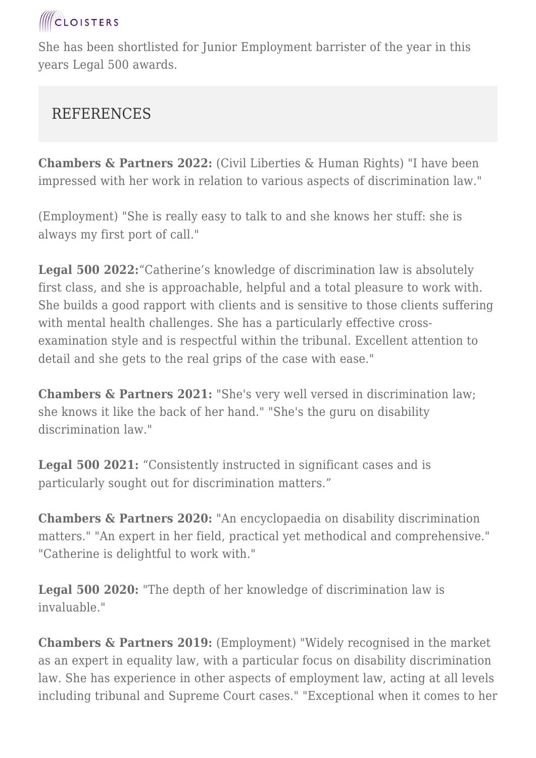She has been shortlisted for Junior Employment barrister of the year in this years Legal 500 awards.

#### REFERENCES

**Chambers & Partners 2022:** (Civil Liberties & Human Rights) "I have been impressed with her work in relation to various aspects of discrimination law."

(Employment) "She is really easy to talk to and she knows her stuff: she is always my first port of call."

**Legal 500 2022:**"Catherine's knowledge of discrimination law is absolutely first class, and she is approachable, helpful and a total pleasure to work with. She builds a good rapport with clients and is sensitive to those clients suffering with mental health challenges. She has a particularly effective crossexamination style and is respectful within the tribunal. Excellent attention to detail and she gets to the real grips of the case with ease."

**Chambers & Partners 2021:** "She's very well versed in discrimination law; she knows it like the back of her hand." "She's the guru on disability discrimination law."

**Legal 500 2021:** "Consistently instructed in significant cases and is particularly sought out for discrimination matters."

**Chambers & Partners 2020:** "An encyclopaedia on disability discrimination matters." "An expert in her field, practical yet methodical and comprehensive." "Catherine is delightful to work with."

**Legal 500 2020:** "The depth of her knowledge of discrimination law is invaluable."

**Chambers & Partners 2019:** (Employment) "Widely recognised in the market as an expert in equality law, with a particular focus on disability discrimination law. She has experience in other aspects of employment law, acting at all levels including tribunal and Supreme Court cases." "Exceptional when it comes to her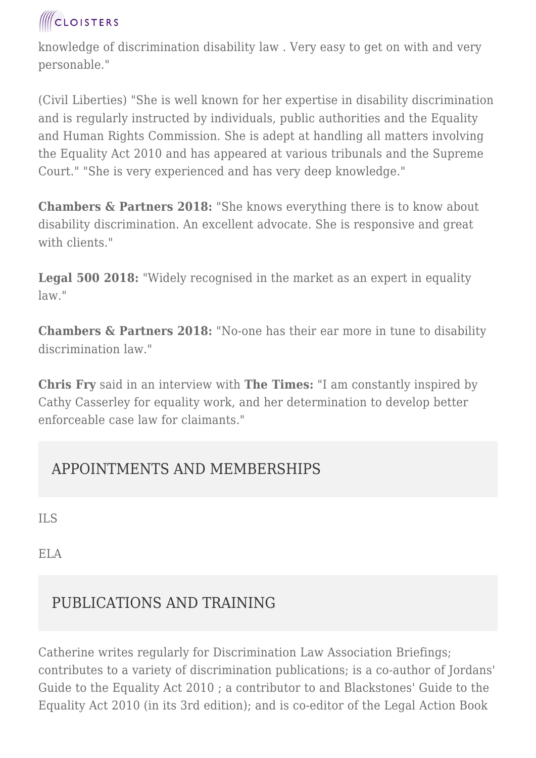knowledge of discrimination disability law . Very easy to get on with and very personable."

(Civil Liberties) "She is well known for her expertise in disability discrimination and is regularly instructed by individuals, public authorities and the Equality and Human Rights Commission. She is adept at handling all matters involving the Equality Act 2010 and has appeared at various tribunals and the Supreme Court." "She is very experienced and has very deep knowledge."

**Chambers & Partners 2018:** "She knows everything there is to know about disability discrimination. An excellent advocate. She is responsive and great with clients."

**Legal 500 2018:** "Widely recognised in the market as an expert in equality law."

**Chambers & Partners 2018:** "No-one has their ear more in tune to disability discrimination law."

**Chris Fry** said in an interview with **The Times:** "I am constantly inspired by Cathy Casserley for equality work, and her determination to develop better enforceable case law for claimants."

#### APPOINTMENTS AND MEMBERSHIPS

ILS

ELA

#### PUBLICATIONS AND TRAINING

Catherine writes regularly for Discrimination Law Association Briefings; contributes to a variety of discrimination publications; is a co-author of Jordans' Guide to the Equality Act 2010 ; a contributor to and Blackstones' Guide to the Equality Act 2010 (in its 3rd edition); and is co-editor of the Legal Action Book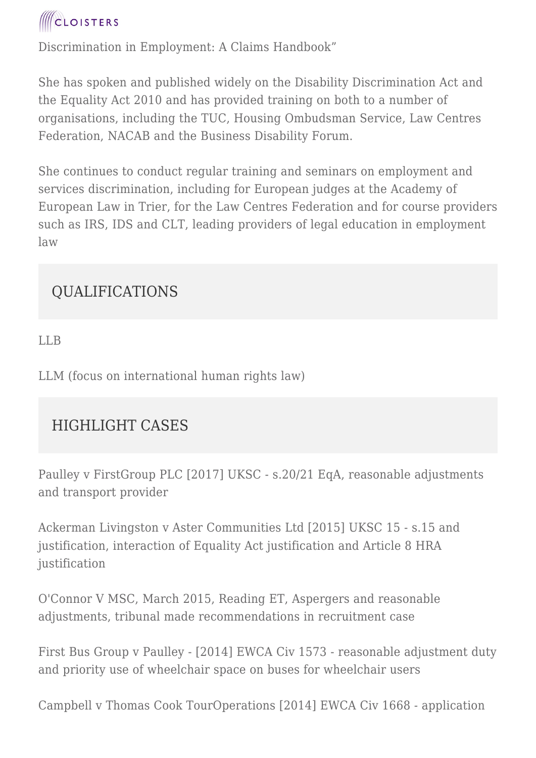

Discrimination in Employment: A Claims Handbook"

She has spoken and published widely on the Disability Discrimination Act and the Equality Act 2010 and has provided training on both to a number of organisations, including the TUC, Housing Ombudsman Service, Law Centres Federation, NACAB and the Business Disability Forum.

She continues to conduct regular training and seminars on employment and services discrimination, including for European judges at the Academy of European Law in Trier, for the Law Centres Federation and for course providers such as IRS, IDS and CLT, leading providers of legal education in employment law

#### QUALIFICATIONS

LLB

LLM (focus on international human rights law)

#### HIGHLIGHT CASES

Paulley v FirstGroup PLC [2017] UKSC - s.20/21 EqA, reasonable adjustments and transport provider

Ackerman Livingston v Aster Communities Ltd [2015] UKSC 15 - s.15 and justification, interaction of Equality Act justification and Article 8 HRA justification

O'Connor V MSC, March 2015, Reading ET, Aspergers and reasonable adjustments, tribunal made recommendations in recruitment case

First Bus Group v Paulley - [2014] EWCA Civ 1573 - reasonable adjustment duty and priority use of wheelchair space on buses for wheelchair users

Campbell v Thomas Cook TourOperations [2014] EWCA Civ 1668 - application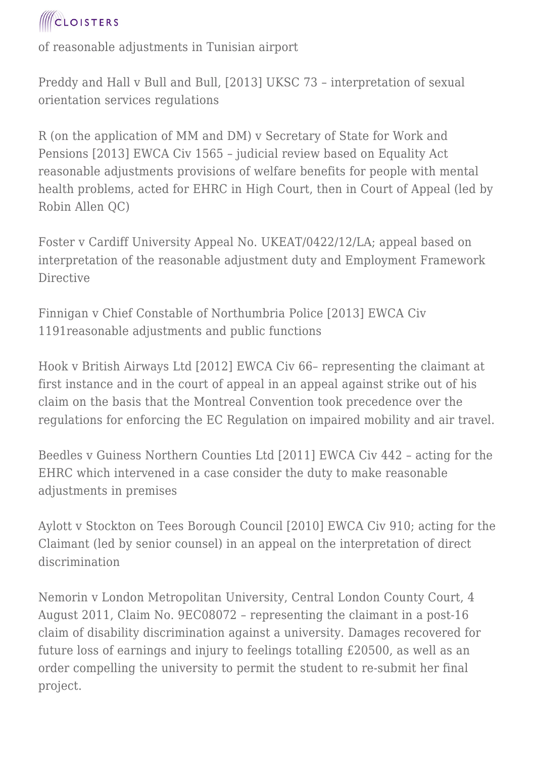

of reasonable adjustments in Tunisian airport

Preddy and Hall v Bull and Bull, [2013] UKSC 73 – interpretation of sexual orientation services regulations

R (on the application of MM and DM) v Secretary of State for Work and Pensions [2013] EWCA Civ 1565 – judicial review based on Equality Act reasonable adjustments provisions of welfare benefits for people with mental health problems, acted for EHRC in High Court, then in Court of Appeal (led by Robin Allen QC)

Foster v Cardiff University Appeal No. UKEAT/0422/12/LA; appeal based on interpretation of the reasonable adjustment duty and Employment Framework Directive

Finnigan v Chief Constable of Northumbria Police [2013] EWCA Civ 1191reasonable adjustments and public functions

Hook v British Airways Ltd [2012] EWCA Civ 66– representing the claimant at first instance and in the court of appeal in an appeal against strike out of his claim on the basis that the Montreal Convention took precedence over the regulations for enforcing the EC Regulation on impaired mobility and air travel.

Beedles v Guiness Northern Counties Ltd [2011] EWCA Civ 442 – acting for the EHRC which intervened in a case consider the duty to make reasonable adjustments in premises

Aylott v Stockton on Tees Borough Council [2010] EWCA Civ 910; acting for the Claimant (led by senior counsel) in an appeal on the interpretation of direct discrimination

Nemorin v London Metropolitan University, Central London County Court, 4 August 2011, Claim No. 9EC08072 – representing the claimant in a post-16 claim of disability discrimination against a university. Damages recovered for future loss of earnings and injury to feelings totalling £20500, as well as an order compelling the university to permit the student to re-submit her final project.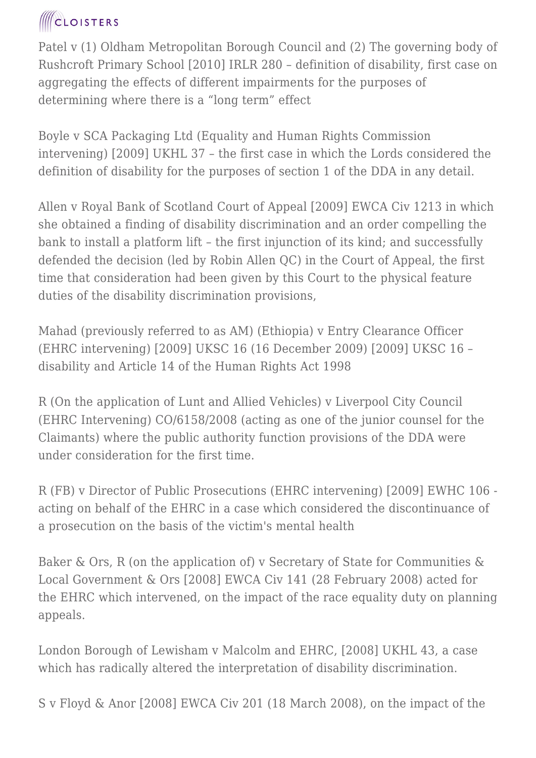Patel v (1) Oldham Metropolitan Borough Council and (2) The governing body of Rushcroft Primary School [2010] IRLR 280 – definition of disability, first case on aggregating the effects of different impairments for the purposes of determining where there is a "long term" effect

Boyle v SCA Packaging Ltd (Equality and Human Rights Commission intervening) [2009] UKHL 37 – the first case in which the Lords considered the definition of disability for the purposes of section 1 of the DDA in any detail.

Allen v Royal Bank of Scotland Court of Appeal [2009] EWCA Civ 1213 in which she obtained a finding of disability discrimination and an order compelling the bank to install a platform lift – the first injunction of its kind; and successfully defended the decision (led by Robin Allen QC) in the Court of Appeal, the first time that consideration had been given by this Court to the physical feature duties of the disability discrimination provisions,

Mahad (previously referred to as AM) (Ethiopia) v Entry Clearance Officer (EHRC intervening) [2009] UKSC 16 (16 December 2009) [2009] UKSC 16 – disability and Article 14 of the Human Rights Act 1998

R (On the application of Lunt and Allied Vehicles) v Liverpool City Council (EHRC Intervening) CO/6158/2008 (acting as one of the junior counsel for the Claimants) where the public authority function provisions of the DDA were under consideration for the first time.

R (FB) v Director of Public Prosecutions (EHRC intervening) [2009] EWHC 106 acting on behalf of the EHRC in a case which considered the discontinuance of a prosecution on the basis of the victim's mental health

Baker & Ors, R (on the application of) v Secretary of State for Communities & Local Government & Ors [2008] EWCA Civ 141 (28 February 2008) acted for the EHRC which intervened, on the impact of the race equality duty on planning appeals.

London Borough of Lewisham v Malcolm and EHRC, [2008] UKHL 43, a case which has radically altered the interpretation of disability discrimination.

S v Floyd & Anor [2008] EWCA Civ 201 (18 March 2008), on the impact of the